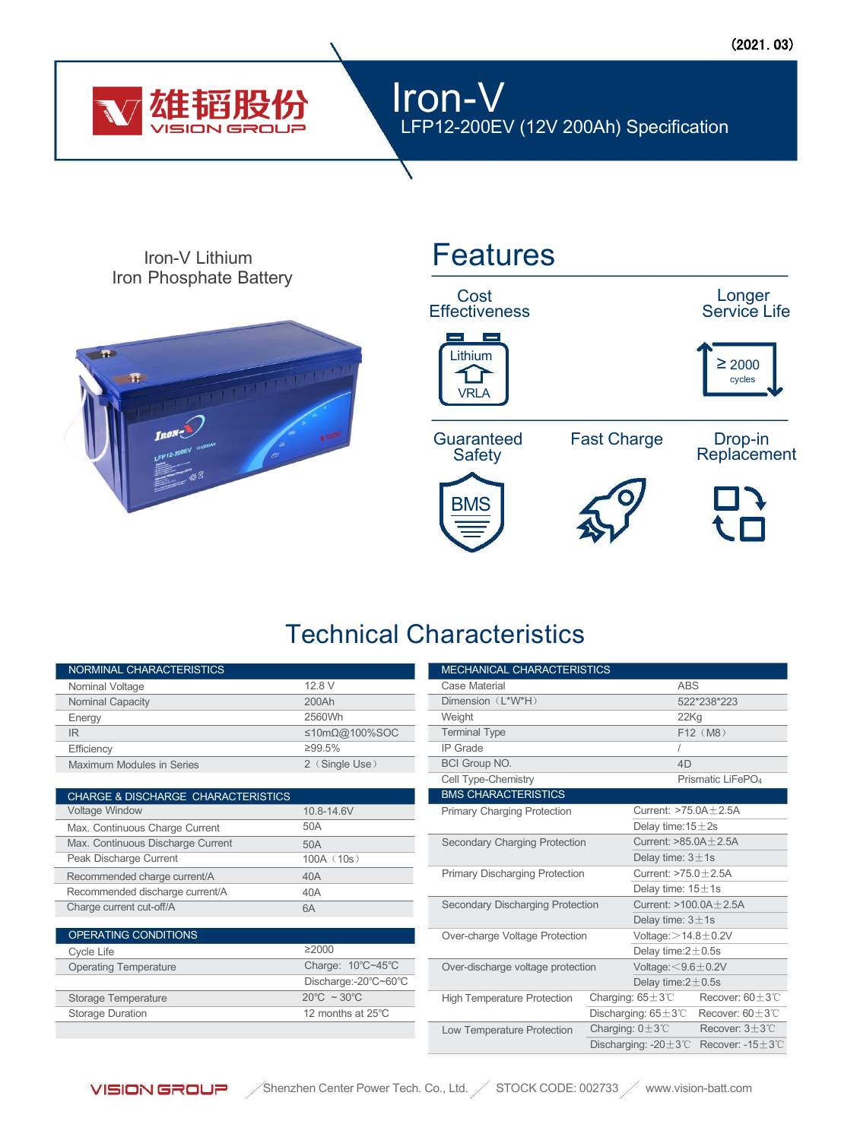

### Iron-V LFP12-200EV (12V 200Ah) Specification

Iron Phosphate Battery



# Iron-V Lithium **Features**

Cost Longer **Effectiveness** 





**Guaranteed** 

**Safety** 

Fast Charge Drop-in

Replacement







## Technical Characteristics

| NORMINAL CHARACTERISTICS                      |                                  | MECHANICAL CHARACTERISTICS                                                               |                                             |
|-----------------------------------------------|----------------------------------|------------------------------------------------------------------------------------------|---------------------------------------------|
| Nominal Voltage                               | 12.8 V                           | Case Material                                                                            | <b>ABS</b>                                  |
| Nominal Capacity                              | 200Ah                            | Dimension (L*W*H)                                                                        | 522*238*22                                  |
| Energy                                        | 2560Wh                           | Weight                                                                                   | 22Kg                                        |
| IR.                                           | ≤10mΩ@100%SOC                    | <b>Terminal Type</b>                                                                     | F12 (M8)                                    |
| Efficiency                                    | ≥99.5%                           | <b>IP</b> Grade                                                                          |                                             |
| Maximum Modules in Series                     | 2 (Single Use)                   | <b>BCI Group NO.</b>                                                                     | 4D                                          |
|                                               |                                  | Cell Type-Chemistry                                                                      | Prismatic Li                                |
| <b>CHARGE &amp; DISCHARGE CHARACTERISTICS</b> |                                  | <b>BMS CHARACTERISTICS</b>                                                               |                                             |
| Voltage Window                                | 10.8-14.6V                       | Primary Charging Protection                                                              | Current: $>75.0A \pm 2.5$                   |
| Max. Continuous Charge Current                | 50A                              |                                                                                          | Delay time: $15 \pm 2s$                     |
| Max. Continuous Discharge Current             | 50A                              | Secondary Charging Protection                                                            | Current: $>85.0A \pm 2.5$                   |
| Peak Discharge Current                        | 100A (10s)                       |                                                                                          | Delay time: $3 \pm 1$ s                     |
| Recommended charge current/A                  | 40A                              | Primary Discharging Protection<br>Current: $>75.0 \pm 2.5$ A<br>Delay time: $15 \pm 1$ s |                                             |
| Recommended discharge current/A               | 40A                              |                                                                                          |                                             |
| Charge current cut-off/A                      | 6A                               | Secondary Discharging Protection                                                         | Current: $>100.0A \pm 2$ .                  |
|                                               |                                  |                                                                                          | Delay time: $3 \pm 1$ s                     |
| OPERATING CONDITIONS                          |                                  | Over-charge Voltage Protection                                                           | Voltage: $>$ 14.8 $\pm$ 0.2V                |
| Cycle Life                                    | $\geq 2000$                      |                                                                                          | Delay time: $2 \pm 0.5$ s                   |
| <b>Operating Temperature</b>                  | Charge: 10°C~45°C                | Voltage: $<$ 9.6 $\pm$ 0.2V<br>Over-discharge voltage protection                         |                                             |
|                                               | Discharge:-20°C~60°C             |                                                                                          | Delay time: $2 \pm 0.5$ s                   |
| Storage Temperature                           | $20^{\circ}$ C ~ 30 $^{\circ}$ C | <b>High Temperature Protection</b>                                                       | Charging: $65 \pm 3^{\circ}$<br>Recove      |
| Storage Duration                              | 12 months at 25°C                |                                                                                          | Discharging: $65 \pm 3^{\circ}$ C<br>Recove |

|                                  | <b>MECHANICAL CHARACTERISTICS</b>                                  |                                                      |                               |                               |  |
|----------------------------------|--------------------------------------------------------------------|------------------------------------------------------|-------------------------------|-------------------------------|--|
| 12.8 V                           | Case Material<br><b>ABS</b>                                        |                                                      |                               |                               |  |
| 200Ah                            | Dimension (L*W*H)                                                  |                                                      | 522*238*223                   |                               |  |
| 2560Wh                           | Weight                                                             |                                                      | 22K <sub>q</sub>              |                               |  |
| ≤10mΩ@100%SOC                    | <b>Terminal Type</b>                                               |                                                      | F12 (M8)                      |                               |  |
| ≥99.5%                           | <b>IP</b> Grade                                                    |                                                      |                               |                               |  |
| 2 (Single Use)                   | <b>BCI Group NO.</b>                                               |                                                      | 4D                            |                               |  |
|                                  | Cell Type-Chemistry                                                |                                                      | Prismatic LiFePO <sub>4</sub> |                               |  |
|                                  | <b>BMS CHARACTERISTICS</b>                                         |                                                      |                               |                               |  |
| 10.8-14.6V                       | Primary Charging Protection                                        |                                                      | Current: $>75.0A + 2.5A$      |                               |  |
| 50A                              |                                                                    |                                                      | Delay time: $15 \pm 2s$       |                               |  |
| 50A                              | Secondary Charging Protection                                      |                                                      | Current: $>85.0A \pm 2.5A$    |                               |  |
| 100A (10s)                       |                                                                    |                                                      | Delay time: $3 \pm 1$ s       |                               |  |
| 40A                              | Primary Discharging Protection                                     |                                                      | Current: $>75.0 \pm 2.5$ A    |                               |  |
| 40A                              |                                                                    |                                                      | Delay time: $15 \pm 1$ s      |                               |  |
| ЭA                               | Secondary Discharging Protection<br>Over-charge Voltage Protection |                                                      | Current: $>100.0A \pm 2.5A$   |                               |  |
|                                  |                                                                    |                                                      | Delay time: $3 \pm 1$ s       |                               |  |
|                                  |                                                                    |                                                      | Voltage: $>$ 14.8 $\pm$ 0.2V  |                               |  |
| $\overline{\geq}2000$            |                                                                    |                                                      | Delay time: $2 \pm 0.5$ s     |                               |  |
| Charge: 10°C~45°C                | Over-discharge voltage protection                                  |                                                      | Voltage: $<$ 9.6 $\pm$ 0.2V   |                               |  |
| Discharge:-20°C~60°C             |                                                                    |                                                      | Delay time: $2 \pm 0.5$ s     |                               |  |
| $20^{\circ}$ C ~ 30 $^{\circ}$ C | <b>High Temperature Protection</b>                                 | Charging: $65 \pm 3^{\circ}$ C                       |                               | Recover: $60\pm3$ °C          |  |
| 12 months at 25°C                |                                                                    | Discharging: $65 \pm 3^{\circ}$ C                    |                               | Recover: $60 \pm 3^{\circ}$ C |  |
|                                  | Low Temperature Protection                                         | Charging: $0 \pm 3^{\circ}$ C<br>Recover: $3\pm3$ °C |                               |                               |  |
|                                  |                                                                    | Discharging: -20 $\pm$ 3°C Recover: -15 $\pm$ 3°C    |                               |                               |  |